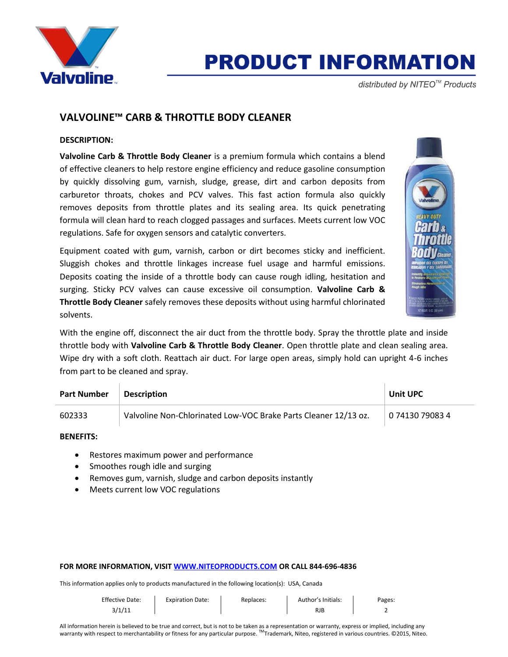

# **PRODUCT INFORMATION**

distributed by NITEO<sup>™</sup> Products

# **VALVOLINE™ CARB & THROTTLE BODY CLEANER**

## **DESCRIPTION:**

**Valvoline Carb & Throttle Body Cleaner** is a premium formula which contains a blend of effective cleaners to help restore engine efficiency and reduce gasoline consumption by quickly dissolving gum, varnish, sludge, grease, dirt and carbon deposits from carburetor throats, chokes and PCV valves. This fast action formula also quickly removes deposits from throttle plates and its sealing area. Its quick penetrating formula will clean hard to reach clogged passages and surfaces. Meets current low VOC regulations. Safe for oxygen sensors and catalytic converters.

Equipment coated with gum, varnish, carbon or dirt becomes sticky and inefficient. Sluggish chokes and throttle linkages increase fuel usage and harmful emissions. Deposits coating the inside of a throttle body can cause rough idling, hesitation and surging. Sticky PCV valves can cause excessive oil consumption. **Valvoline Carb & Throttle Body Cleaner** safely removes these deposits without using harmful chlorinated solvents.



With the engine off, disconnect the air duct from the throttle body. Spray the throttle plate and inside throttle body with **Valvoline Carb & Throttle Body Cleaner**. Open throttle plate and clean sealing area. Wipe dry with a soft cloth. Reattach air duct. For large open areas, simply hold can upright 4-6 inches from part to be cleaned and spray.

| <b>Part Number</b> | <b>Description</b>                                              | <b>Unit UPC</b> |
|--------------------|-----------------------------------------------------------------|-----------------|
| 602333             | Valvoline Non-Chlorinated Low-VOC Brake Parts Cleaner 12/13 oz. | 0 74130 79083 4 |

### **BENEFITS:**

- Restores maximum power and performance
- Smoothes rough idle and surging
- Removes gum, varnish, sludge and carbon deposits instantly
- Meets current low VOC regulations

#### **FOR MORE INFORMATION, VISI[T WWW.NITEOPRODUCTS.COM](http://www.niteoproducts.com/) OR CALL 844-696-4836**

This information applies only to products manufactured in the following location(s): USA, Canada

| <b>Effective Date:</b> | <b>Expiration Date:</b> | Replaces: | Author's Initials: | Pages: |
|------------------------|-------------------------|-----------|--------------------|--------|
| 3/1/11                 |                         |           | RJB                |        |

All information herein is believed to be true and correct, but is not to be taken as a representation or warranty, express or implied, including any warranty with respect to merchantability or fitness for any particular purpose. ™Trademark, Niteo, registered in various countries. ©2015, Niteo.